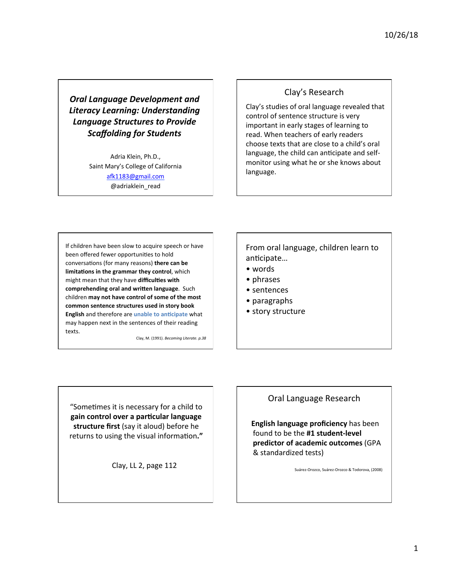**Oral Language Development and** *Literacy Learning: Understanding*  **Language Structures to Provide** *Scaffolding for Students* 

> Adria Klein, Ph.D., Saint Mary's College of California afk1183@gmail.com @adriaklein\_read

## Clay's Research

Clay's studies of oral language revealed that control of sentence structure is very important in early stages of learning to read. When teachers of early readers choose texts that are close to a child's oral language, the child can anticipate and selfmonitor using what he or she knows about language. 

If children have been slow to acquire speech or have been offered fewer opportunities to hold conversations (for many reasons) there can be **limitations in the grammar they control**, which might mean that they have difficulties with **comprehending oral and written language**. Such children may not have control of some of the most common sentence structures used in story book **English** and therefore are *unable* to anticipate what may happen next in the sentences of their reading texts.

Clay, M. (1991). *Becoming Literate.* p.38

From oral language, children learn to anticipate...

- • words
- • phrases
- sentences
- • paragraphs
- story structure

"Sometimes it is necessary for a child to gain control over a particular language **structure first** (say it aloud) before he returns to using the visual information."

Clay, LL 2, page 112

### Oral Language Research

**English language proficiency** has been found to be the #1 student-level **predictor of academic outcomes (GPA** & standardized tests)

Suárez-Orozco, Suárez-Orozco & Todorova, (2008)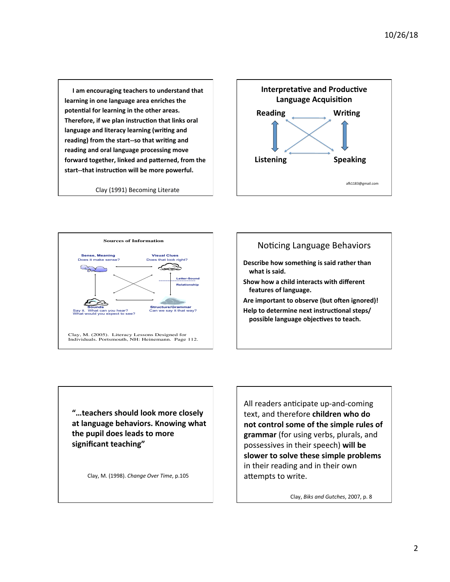**I** am encouraging teachers to understand that learning in one language area enriches the potential for learning in the other areas. Therefore, if we plan instruction that links oral language and literacy learning (writing and reading) from the start--so that writing and reading and oral language processing move forward together, linked and patterned, from the start--that instruction will be more powerful.

Clay (1991) Becoming Literate







Help to determine next instructional steps/ possible language objectives to teach.

"...teachers should look more closely at language behaviors. Knowing what the pupil does leads to more significant teaching"

 Clay, M. (1998). *Change Over Time*, p.105

All readers anticipate up-and-coming text, and therefore **children** who do not control some of the simple rules of grammar (for using verbs, plurals, and possessives in their speech) will be slower to solve these simple problems in their reading and in their own attempts to write.

Clay, *Biks and Gutches*, 2007, p. 8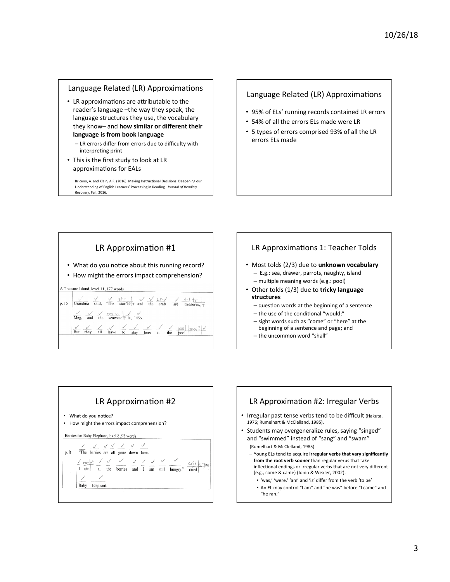#### Language Related (LR) Approximations

- LR approximations are attributable to the reader's language -the way they speak, the language structures they use, the vocabulary they know- and **how similar or different their** language is from book language
	- LR errors differ from errors due to difficulty with interpreting print
- This is the first study to look at LR approximations for EALs

Briceno, A. and Klein, A.F. (2016). Making Instructional Decisions: Deepening our Understanding of English Learners' Processing in Reading. Journal of Reading *Recovery*, Fall, 2016. 

#### Language Related (LR) Approximations

- 95% of ELs' running records contained LR errors
- 54% of all the errors ELs made were LR
- 5 types of errors comprised 93% of all the LR errors ELs made



#### LR Approximations 1: Teacher Tolds

- Most tolds (2/3) due to unknown vocabulary - E.g.: sea, drawer, parrots, naughty, island - multiple meaning words (e.g.: pool)
- Other tolds (1/3) due to tricky language **structures** 
	- $-$  question words at the beginning of a sentence
	- $-$  the use of the conditional "would:"
	- sight words such as "come" or "here" at the beginning of a sentence and page; and
	- the uncommon word "shall"



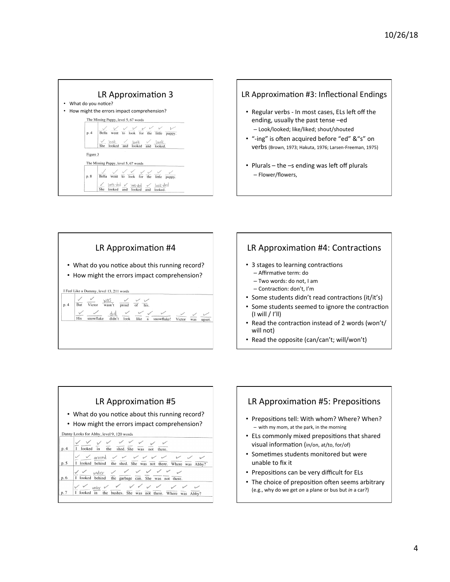



- Regular verbs In most cases, ELs left off the ending, usually the past tense -ed – Look/looked; like/liked; shout/shouted
- "-ing" is often acquired before "ed" & "s" on Verbs (Brown, 1973; Hakuta, 1976; Larsen-Freeman, 1975)
- Plurals  $-$  the  $-$ s ending was left off plurals – Flower/flowers,



# LR Approximation #4: Contractions

- 3 stages to learning contractions
	- Affirmative term: do
	- Two words: do not, I am
	- Contraction: don't, I'm
- Some students didn't read contractions (it/it's)
- Some students seemed to ignore the contraction  $(I will / I'$ ll)
- Read the contraction instead of 2 words (won't/ will not)
- Read the opposite (can/can't; will/won't)



# LR Approximation #5: Prepositions

- Prepositions tell: With whom? Where? When?  $-$  with my mom, at the park, in the morning
- ELs commonly mixed prepositions that shared visual information (in/on, at/to, for/of)
- Sometimes students monitored but were unable to fix it
- Prepositions can be very difficult for ELs
- The choice of preposition often seems arbitrary (e.g., why do we get on a plane or bus but in a car?)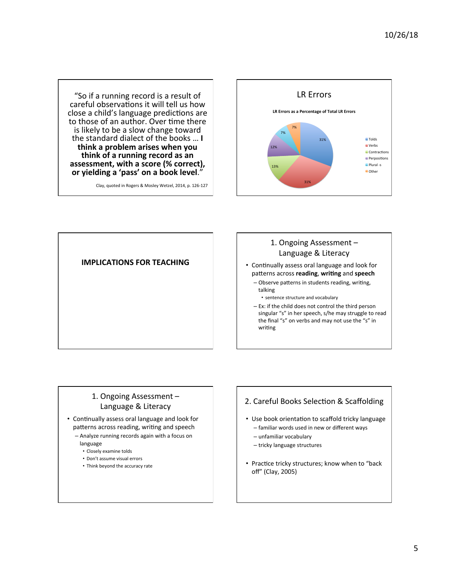"So if a running record is a result of careful observations it will tell us how close a child's language predictions are to those of an author. Over time there is likely to be a slow change toward the standard dialect of the books ... I **think a problem arises when you**  think of a running record as an assessment, with a score (% correct), or yielding a 'pass' on a book level."

Clay, quoted in Rogers & Mosley Wetzel, 2014, p. 126-127





## 1. Ongoing Assessment -Language & Literacy

- Continually assess oral language and look for patterns across **reading**, writing and speech
	- Observe patterns in students reading, writing, talking
		- sentence structure and vocabulary
	- $-$  Ex: if the child does not control the third person singular "s" in her speech, s/he may struggle to read the final "s" on verbs and may not use the "s" in writing

### 1. Ongoing Assessment -Language & Literacy

- Continually assess oral language and look for patterns across reading, writing and speech - Analyze running records again with a focus on
	- language
	- Closely examine tolds
	- Don't assume visual errors
	- Think beyond the accuracy rate

#### 2. Careful Books Selection & Scaffolding

- Use book orientation to scaffold tricky language
	- familiar words used in new or different ways
	- unfamiliar vocabulary
	- tricky language structures
- Practice tricky structures; know when to "back off" (Clay, 2005)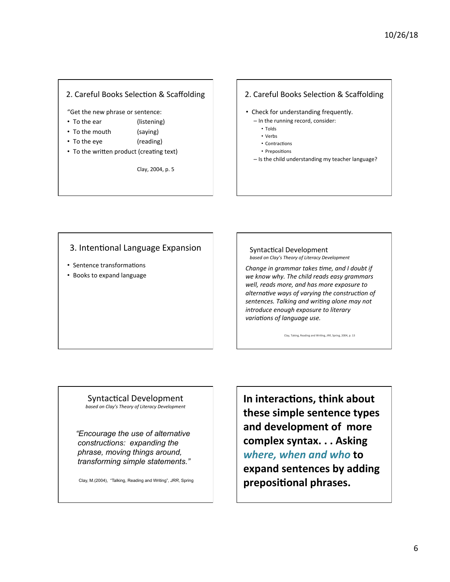### 2. Careful Books Selection & Scaffolding

"Get the new phrase or sentence:

- To the ear (listening)
- To the mouth (saying)
- To the eye (reading)
- 
- To the written product (creating text)

Clay, 2004, p. 5

#### 2. Careful Books Selection & Scaffolding

- Check for understanding frequently.
	- In the running record, consider:
		- Tolds
		- Verbs
		- Contractions
		- Prepositions
	- $-$  Is the child understanding my teacher language?

# 3. Intentional Language Expansion

- Sentence transformations
- Books to expand language

#### Syntactical Development *based on Clay's Theory of Literacy Development*

*Change in grammar takes time, and I doubt if* we know why. The child reads easy grammars well, reads more, and has more exposure to *alternative* ways of varying the construction of sentences. Talking and writing alone may not *introduce enough exposure to literary variations of language use.* 

Clay, Taking, Reading and Writing, *JRR*, Spring, 2004, p. 13

#### Syntactical Development based on Clay's Theory of Literacy Development

 *"Encourage the use of alternative constructions: expanding the phrase, moving things around, transforming simple statements."* 

Clay, M.(2004), "Talking, Reading and Writing", *JRR*, Spring

**In interactions, think about these simple sentence types**  and development of more complex syntax. . . Asking where, when and who to **expand sentences by adding** prepositional phrases.